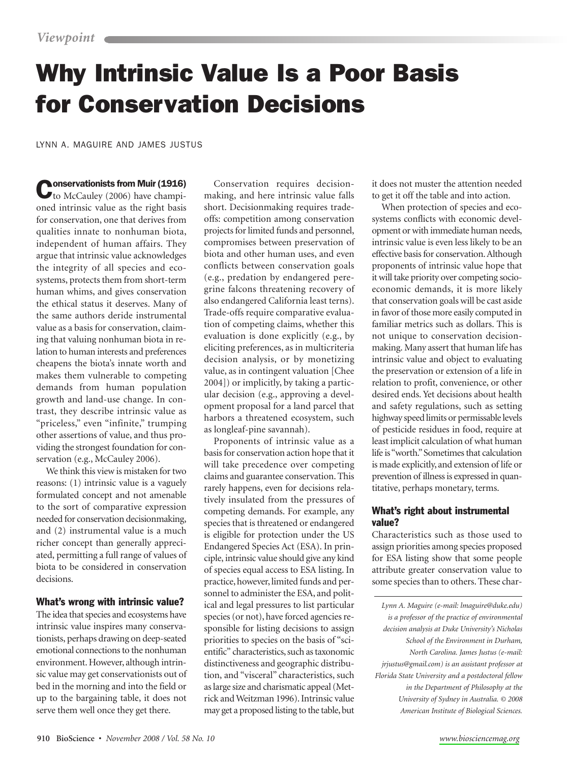# **Why Intrinsic Value Is a Poor Basis for Conservation Decisions**

LYNN A. MAGUIRE AND JAMES JUSTUS

**Conservationists from Muir (1916)**<br>to McCauley (2006) have championed intrinsic value as the right basis for conservation, one that derives from qualities innate to nonhuman biota, independent of human affairs. They argue that intrinsic value acknowledges the integrity of all species and ecosystems, protects them from short-term human whims, and gives conservation the ethical status it deserves. Many of the same authors deride instrumental value as a basis for conservation, claiming that valuing nonhuman biota in relation to human interests and preferences cheapens the biota's innate worth and makes them vulnerable to competing demands from human population growth and land-use change. In contrast, they describe intrinsic value as "priceless," even "infinite," trumping other assertions of value, and thus providing the strongest foundation for conservation (e.g., McCauley 2006).

We think this view is mistaken for two reasons: (1) intrinsic value is a vaguely formulated concept and not amenable to the sort of comparative expression needed for conservation decision making, and (2) instrumental value is a much richer concept than generally appreciated, permitting a full range of values of biota to be considered in conservation decisions.

# What's wrong with intrinsic value?

The idea that species and ecosystems have intrinsic value inspires many conservationists, perhaps drawing on deep-seated emotional connections to the nonhuman environment. However, although intrinsic value may get conservationists out of bed in the morning and into the field or up to the bargaining table, it does not serve them well once they get there.

Conservation requires decisionmaking, and here intrinsic value falls short. Decisionmaking requires tradeoffs: competition among conservation projects for limited funds and personnel, compromises between preservation of biota and other human uses, and even conflicts between conservation goals (e.g., predation by endangered peregrine falcons threatening recovery of also endangered California least terns). Trade-offs require comparative evaluation of competing claims, whether this evaluation is done explicitly (e.g., by eliciting preferences, as in multicriteria decision analysis, or by monetizing value, as in contingent valuation [Chee 2004]) or implicitly, by taking a particular decision (e.g., approving a development proposal for a land parcel that harbors a threatened ecosystem, such as longleaf-pine savannah).

Proponents of intrinsic value as a basis for conservation action hope that it will take precedence over competing claims and guarantee conservation. This rarely happens, even for decisions relatively insulated from the pressures of competing demands. For example, any species that is threatened or endangered is eligible for protection under the US Endangered Species Act (ESA). In principle, intrinsic value should give any kind of species equal access to ESA listing. In practice, however, limited funds and personnel to administer the ESA, and political and legal pressures to list particular species (or not), have forced agencies responsible for listing decisions to assign priorities to species on the basis of "scientific" characteristics, such as taxonomic distinctiveness and geographic distribution, and "visceral" characteristics, such as large size and charismatic appeal (Metrick and Weitzman 1996). Intrinsic value may get a proposed listing to the table, but

it does not muster the attention needed to get it off the table and into action.

When protection of species and ecosystems conflicts with economic development or with immediate human needs. intrinsic value is even less likely to be an effective basis for conservation. Although proponents of intrinsic value hope that it will take priority over competing socioeconomic demands, it is more likely that conservation goals will be cast aside in favor of those more easily computed in familiar metrics such as dollars. This is not unique to conservation decisionmaking. Many assert that human life has intrinsic value and object to evaluating the preservation or extension of a life in relation to profit, convenience, or other desired ends. Yet decisions about health and safety regulations, such as setting highway speed limits or permissable levels of pesticide residues in food, require at least implicit calculation of what human life is "worth" Sometimes that calculation is made explicitly, and extension of life or prevention of illness is expressed in quantitative, perhaps monetary, terms.

# What's right about instrumental value?

Characteristics such as those used to assign priorities among species proposed for ESA listing show that some people attribute greater conservation value to some species than to others. These char-

Lynn A. Maguire (e-mail: lmaguire@duke.edu) is a professor of the practice of environmental decision analysis at Duke University's Nicholas School of the Environment in Durham, North Carolina. James Justus (e-mail: jrjustus@gmail.com) is an assistant professor at Florida State University and a postdoctoral fellow in the Department of Philosophy at the University of Sydney in Australia. © 2008 American Institute of Biological Sciences.